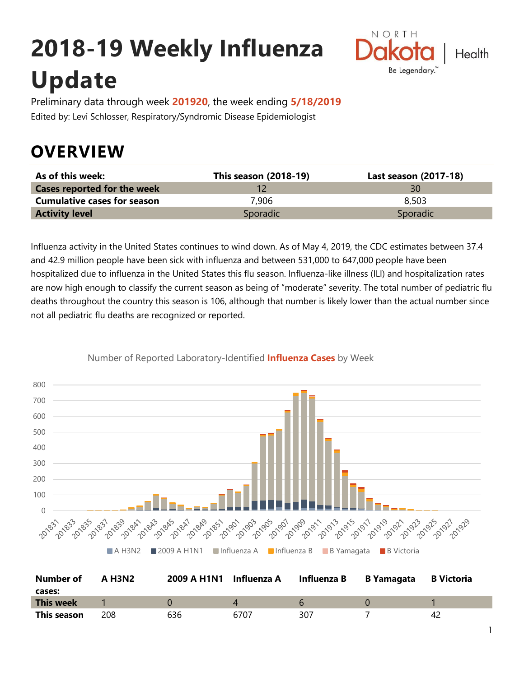# **2018-19 Weekly Influenza Update**



Preliminary data through week **201920**, the week ending **5/18/2019** Edited by: Levi Schlosser, Respiratory/Syndromic Disease Epidemiologist

## **OVERVIEW**

| As of this week:                   | This season (2018-19) | Last season (2017-18) |
|------------------------------------|-----------------------|-----------------------|
| <b>Cases reported for the week</b> |                       | 30                    |
| <b>Cumulative cases for season</b> | 7,906                 | 8,503                 |
| <b>Activity level</b>              | Sporadic              | Sporadic              |

Influenza activity in the United States continues to wind down. As of May 4, 2019, the CDC estimates between 37.4 and 42.9 million people have been sick with influenza and between 531,000 to 647,000 people have been hospitalized due to influenza in the United States this flu season. Influenza-like illness (ILI) and hospitalization rates are now high enough to classify the current season as being of "moderate" severity. The total number of pediatric flu deaths throughout the country this season is 106, although that number is likely lower than the actual number since not all pediatric flu deaths are recognized or reported.



Number of Reported Laboratory-Identified **Influenza Cases** by Week

| Number of        | A H3N2 | 2009 A H1N1 Influenza A |      | Influenza B | B Yamagata | <b>B</b> Victoria |
|------------------|--------|-------------------------|------|-------------|------------|-------------------|
| cases:           |        |                         |      |             |            |                   |
| <b>This week</b> |        |                         |      |             |            |                   |
| This season      | 208    | 636                     | 6707 | 307         |            | 4 <sub>c</sub>    |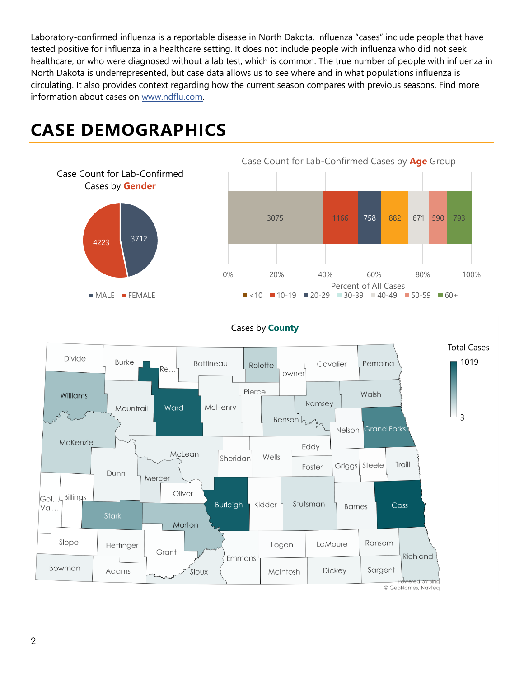Laboratory-confirmed influenza is a reportable disease in North Dakota. Influenza "cases" include people that have tested positive for influenza in a healthcare setting. It does not include people with influenza who did not seek healthcare, or who were diagnosed without a lab test, which is common. The true number of people with influenza in North Dakota is underrepresented, but case data allows us to see where and in what populations influenza is circulating. It also provides context regarding how the current season compares with previous seasons. Find more information about cases on [www.ndflu.com.](file://///nd.gov/doh/DOH-DATA/MSS/DC/PROGRAM/IMMUNE/Immunize/Influenza/Inf18-19/Surveillance/Weekly%20Summaries/www.ndflu.com)

## **CASE DEMOGRAPHICS**



**MALE** FEMALE



#### Cases by **County**

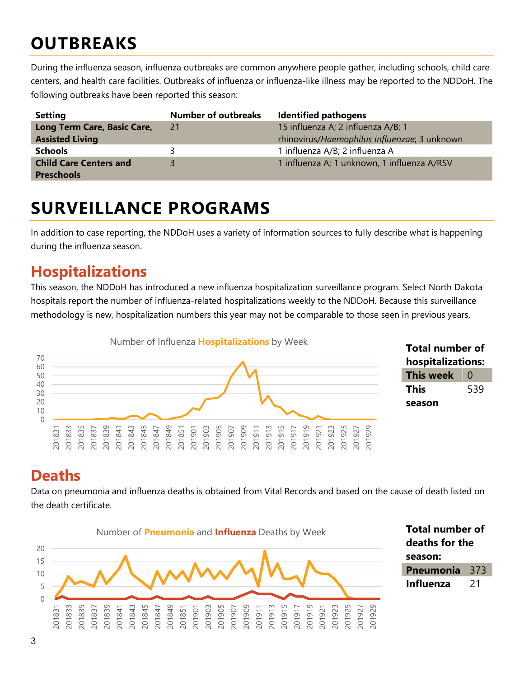## **OUTBREAKS**

During the influenza season, influenza outbreaks are common anywhere people gather, including schools, child care centers, and health care facilities. Outbreaks of influenza or influenza-like illness may be reported to the NDDoH. The following outbreaks have been reported this season:

| <b>Setting</b>                | <b>Number of outbreaks</b> | <b>Identified pathogens</b>                  |
|-------------------------------|----------------------------|----------------------------------------------|
| Long Term Care, Basic Care,   | 21                         | 15 influenza A; 2 influenza A/B; 1           |
| <b>Assisted Living</b>        |                            | rhinovirus/Haemophilus influenzae; 3 unknown |
| <b>Schools</b>                |                            | 1 influenza A/B; 2 influenza A               |
| <b>Child Care Centers and</b> |                            | 1 influenza A; 1 unknown, 1 influenza A/RSV  |
| <b>Preschools</b>             |                            |                                              |

### **SURVEILLANCE PROGRAMS**

In addition to case reporting, the NDDoH uses a variety of information sources to fully describe what is happening during the influenza season.

#### **Hospitalizations**

This season, the NDDoH has introduced a new influenza hospitalization surveillance program. Select North Dakota hospitals report the number of influenza-related hospitalizations weekly to the NDDoH. Because this surveillance methodology is new, hospitalization numbers this year may not be comparable to those seen in previous years.





#### **Deaths**

Data on pneumonia and influenza deaths is obtained from Vital Records and based on the cause of death listed on the death certificate.

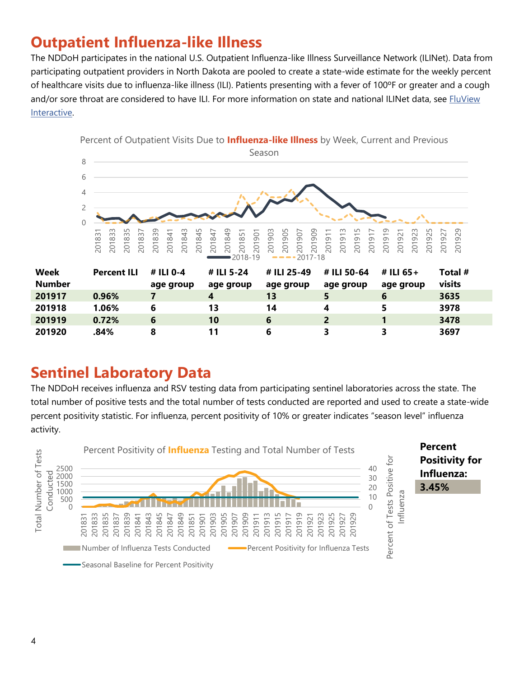#### **Outpatient Influenza-like Illness**

The NDDoH participates in the national U.S. Outpatient Influenza-like Illness Surveillance Network (ILINet). Data from participating outpatient providers in North Dakota are pooled to create a state-wide estimate for the weekly percent of healthcare visits due to influenza-like illness (ILI). Patients presenting with a fever of 100ºF or greater and a cough and/or sore throat are considered to have ILI. For more information on state and national ILINet data, see FluView [Interactive.](https://gis.cdc.gov/grasp/fluview/fluportaldashboard.html)



#### **Sentinel Laboratory Data**

The NDDoH receives influenza and RSV testing data from participating sentinel laboratories across the state. The total number of positive tests and the total number of tests conducted are reported and used to create a state-wide percent positivity statistic. For influenza, percent positivity of 10% or greater indicates "season level" influenza activity.

 **0.72% 6 10 6 2 1 3478 .84% 8 11 6 3 3 3697**

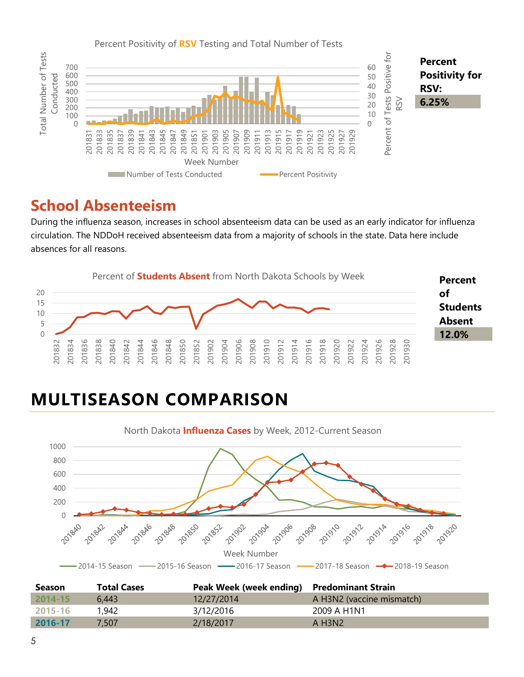

#### **School Absenteeism**

During the influenza season, increases in school absenteeism data can be used as an early indicator for influenza circulation. The NDDoH received absenteeism data from a majority of schools in the state. Data here include absences for all reasons.



## **MULTISEASON COMPARISON**



| <b>Season</b> | <b>Total Cases</b> | Peak Week (week ending) Predominant Strain |                           |
|---------------|--------------------|--------------------------------------------|---------------------------|
| $2014 - 15$   | 6.443              | 12/27/2014                                 | A H3N2 (vaccine mismatch) |
| 2015-16       | 1,942              | 3/12/2016                                  | 2009 A H1N1               |
| 2016-17       | 7.507              | 2/18/2017                                  | A H3N2                    |